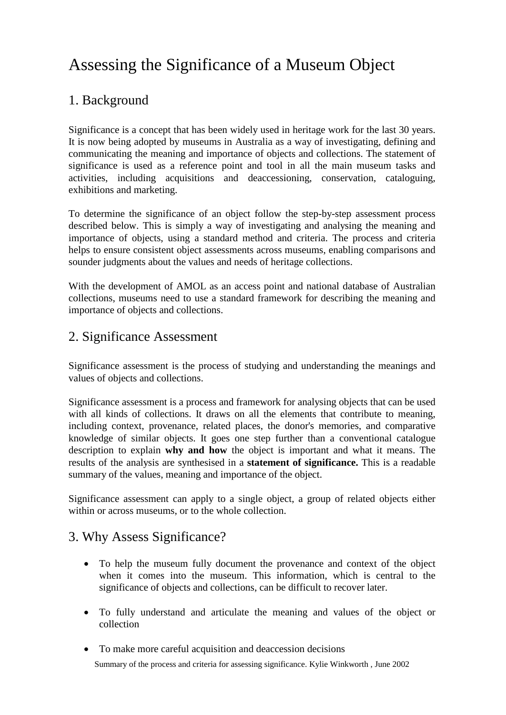# Assessing the Significance of a Museum Object

## 1. Background

Significance is a concept that has been widely used in heritage work for the last 30 years. It is now being adopted by museums in Australia as a way of investigating, defining and communicating the meaning and importance of objects and collections. The statement of significance is used as a reference point and tool in all the main museum tasks and activities, including acquisitions and deaccessioning, conservation, cataloguing, exhibitions and marketing.

To determine the significance of an object follow the step-by-step assessment process described below. This is simply a way of investigating and analysing the meaning and importance of objects, using a standard method and criteria. The process and criteria helps to ensure consistent object assessments across museums, enabling comparisons and sounder judgments about the values and needs of heritage collections.

With the development of AMOL as an access point and national database of Australian collections, museums need to use a standard framework for describing the meaning and importance of objects and collections.

## 2. Significance Assessment

Significance assessment is the process of studying and understanding the meanings and values of objects and collections.

Significance assessment is a process and framework for analysing objects that can be used with all kinds of collections. It draws on all the elements that contribute to meaning, including context, provenance, related places, the donor's memories, and comparative knowledge of similar objects. It goes one step further than a conventional catalogue description to explain **why and how** the object is important and what it means. The results of the analysis are synthesised in a **statement of significance.** This is a readable summary of the values, meaning and importance of the object.

Significance assessment can apply to a single object, a group of related objects either within or across museums, or to the whole collection.

## 3. Why Assess Significance?

- To help the museum fully document the provenance and context of the object when it comes into the museum. This information, which is central to the significance of objects and collections, can be difficult to recover later.
- To fully understand and articulate the meaning and values of the object or collection
- To make more careful acquisition and deaccession decisions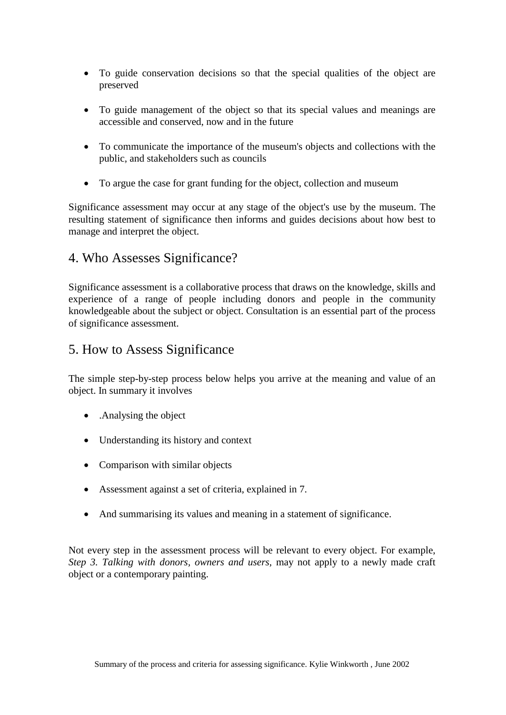- To guide conservation decisions so that the special qualities of the object are preserved
- To guide management of the object so that its special values and meanings are accessible and conserved, now and in the future
- To communicate the importance of the museum's objects and collections with the public, and stakeholders such as councils
- To argue the case for grant funding for the object, collection and museum

Significance assessment may occur at any stage of the object's use by the museum. The resulting statement of significance then informs and guides decisions about how best to manage and interpret the object.

## 4. Who Assesses Significance?

Significance assessment is a collaborative process that draws on the knowledge, skills and experience of a range of people including donors and people in the community knowledgeable about the subject or object. Consultation is an essential part of the process of significance assessment.

## 5. How to Assess Significance

The simple step-by-step process below helps you arrive at the meaning and value of an object. In summary it involves

- .Analysing the object
- Understanding its history and context
- Comparison with similar objects
- Assessment against a set of criteria, explained in 7.
- And summarising its values and meaning in a statement of significance.

Not every step in the assessment process will be relevant to every object. For example, *Step 3. Talking with donors, owners and users,* may not apply to a newly made craft object or a contemporary painting.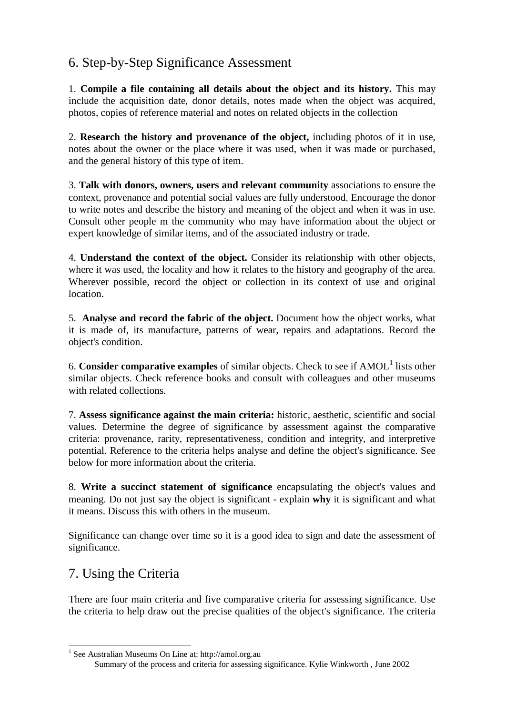## 6. Step-by-Step Significance Assessment

1. **Compile a file containing all details about the object and its history.** This may include the acquisition date, donor details, notes made when the object was acquired, photos, copies of reference material and notes on related objects in the collection

2. **Research the history and provenance of the object,** including photos of it in use, notes about the owner or the place where it was used, when it was made or purchased, and the general history of this type of item.

3. **Talk with donors, owners, users and relevant community** associations to ensure the context, provenance and potential social values are fully understood. Encourage the donor to write notes and describe the history and meaning of the object and when it was in use. Consult other people m the community who may have information about the object or expert knowledge of similar items, and of the associated industry or trade.

4. **Understand the context of the object.** Consider its relationship with other objects, where it was used, the locality and how it relates to the history and geography of the area. Wherever possible, record the object or collection in its context of use and original location.

5. **Analyse and record the fabric of the object.** Document how the object works, what it is made of, its manufacture, patterns of wear, repairs and adaptations. Record the object's condition.

6. **Consider comparative examples** of similar objects. Check to see if AMOL<sup>[1](#page-2-0)</sup> lists other similar objects. Check reference books and consult with colleagues and other museums with related collections.

7. **Assess significance against the main criteria:** historic, aesthetic, scientific and social values. Determine the degree of significance by assessment against the comparative criteria: provenance, rarity, representativeness, condition and integrity, and interpretive potential. Reference to the criteria helps analyse and define the object's significance. See below for more information about the criteria.

8. **Write a succinct statement of significance** encapsulating the object's values and meaning. Do not just say the object is significant - explain **why** it is significant and what it means. Discuss this with others in the museum.

Significance can change over time so it is a good idea to sign and date the assessment of significance.

## 7. Using the Criteria

There are four main criteria and five comparative criteria for assessing significance. Use the criteria to help draw out the precise qualities of the object's significance. The criteria

<span id="page-2-0"></span>Summary of the process and criteria for assessing significance. Kylie Winkworth , June 2002 <sup>1</sup> See Australian Museums On Line at: http://amol.org.au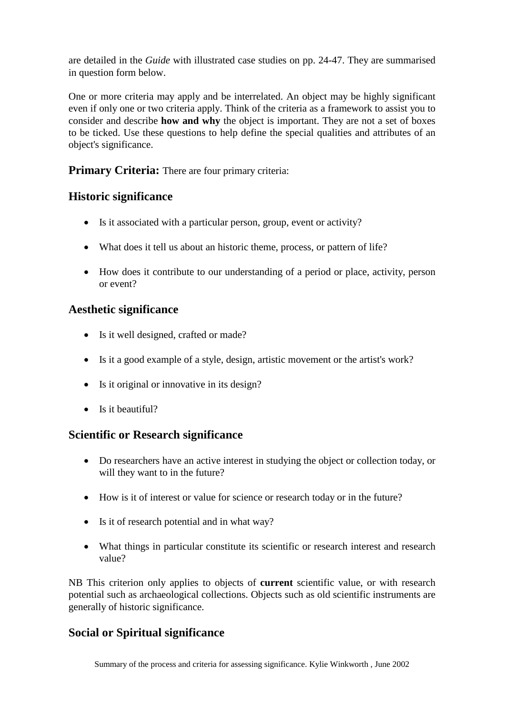are detailed in the *Guide* with illustrated case studies on pp. 24-47. They are summarised in question form below.

One or more criteria may apply and be interrelated. An object may be highly significant even if only one or two criteria apply. Think of the criteria as a framework to assist you to consider and describe **how and why** the object is important. They are not a set of boxes to be ticked. Use these questions to help define the special qualities and attributes of an object's significance.

#### **Primary Criteria:** There are four primary criteria:

#### **Historic significance**

- Is it associated with a particular person, group, event or activity?
- What does it tell us about an historic theme, process, or pattern of life?
- How does it contribute to our understanding of a period or place, activity, person or event?

#### **Aesthetic significance**

- Is it well designed, crafted or made?
- Is it a good example of a style, design, artistic movement or the artist's work?
- Is it original or innovative in its design?
- Is it beautiful?

#### **Scientific or Research significance**

- Do researchers have an active interest in studying the object or collection today, or will they want to in the future?
- How is it of interest or value for science or research today or in the future?
- Is it of research potential and in what way?
- What things in particular constitute its scientific or research interest and research value?

NB This criterion only applies to objects of **current** scientific value, or with research potential such as archaeological collections. Objects such as old scientific instruments are generally of historic significance.

#### **Social or Spiritual significance**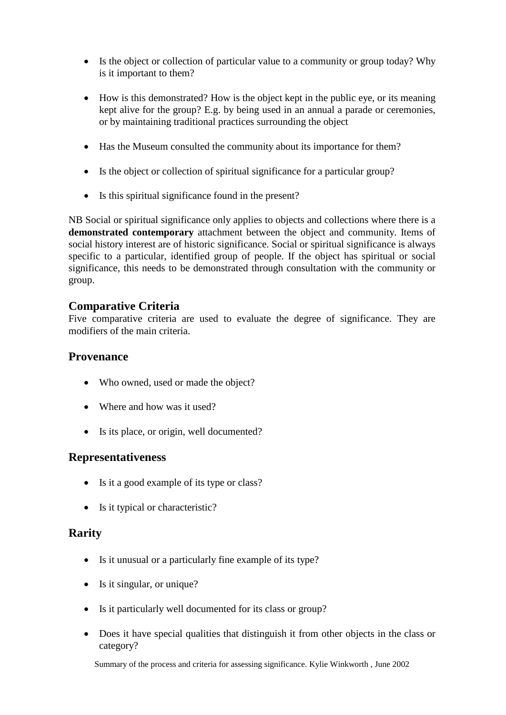- Is the object or collection of particular value to a community or group today? Why is it important to them?
- How is this demonstrated? How is the object kept in the public eye, or its meaning kept alive for the group? E.g. by being used in an annual a parade or ceremonies, or by maintaining traditional practices surrounding the object
- Has the Museum consulted the community about its importance for them?
- Is the object or collection of spiritual significance for a particular group?
- Is this spiritual significance found in the present?

NB Social or spiritual significance only applies to objects and collections where there is a **demonstrated contemporary** attachment between the object and community. Items of social history interest are of historic significance. Social or spiritual significance is always specific to a particular, identified group of people. If the object has spiritual or social significance, this needs to be demonstrated through consultation with the community or group.

#### **Comparative Criteria**

Five comparative criteria are used to evaluate the degree of significance. They are modifiers of the main criteria.

#### **Provenance**

- Who owned, used or made the object?
- Where and how was it used?
- Is its place, or origin, well documented?

#### **Representativeness**

- Is it a good example of its type or class?
- Is it typical or characteristic?

#### **Rarity**

- Is it unusual or a particularly fine example of its type?
- Is it singular, or unique?
- Is it particularly well documented for its class or group?
- Does it have special qualities that distinguish it from other objects in the class or category?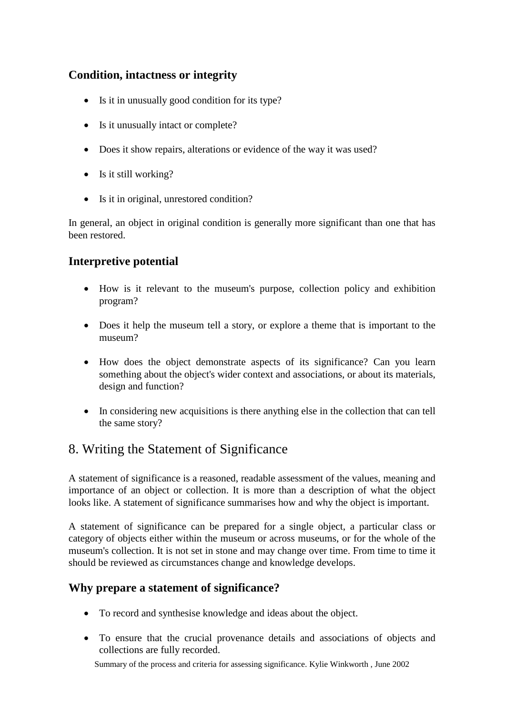### **Condition, intactness or integrity**

- Is it in unusually good condition for its type?
- Is it unusually intact or complete?
- Does it show repairs, alterations or evidence of the way it was used?
- Is it still working?
- Is it in original, unrestored condition?

In general, an object in original condition is generally more significant than one that has been restored.

## **Interpretive potential**

- How is it relevant to the museum's purpose, collection policy and exhibition program?
- Does it help the museum tell a story, or explore a theme that is important to the museum?
- How does the object demonstrate aspects of its significance? Can you learn something about the object's wider context and associations, or about its materials, design and function?
- In considering new acquisitions is there anything else in the collection that can tell the same story?

## 8. Writing the Statement of Significance

A statement of significance is a reasoned, readable assessment of the values, meaning and importance of an object or collection. It is more than a description of what the object looks like. A statement of significance summarises how and why the object is important.

A statement of significance can be prepared for a single object, a particular class or category of objects either within the museum or across museums, or for the whole of the museum's collection. It is not set in stone and may change over time. From time to time it should be reviewed as circumstances change and knowledge develops.

## **Why prepare a statement of significance?**

- To record and synthesise knowledge and ideas about the object.
- To ensure that the crucial provenance details and associations of objects and collections are fully recorded.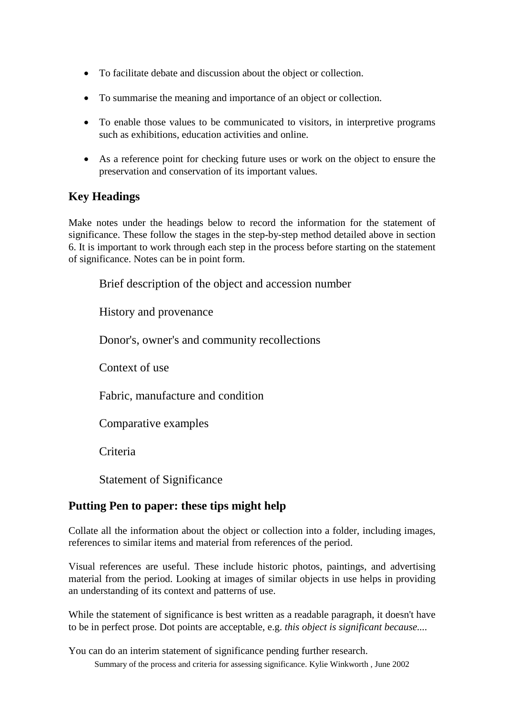- To facilitate debate and discussion about the object or collection.
- To summarise the meaning and importance of an object or collection.
- To enable those values to be communicated to visitors, in interpretive programs such as exhibitions, education activities and online.
- As a reference point for checking future uses or work on the object to ensure the preservation and conservation of its important values.

#### **Key Headings**

Make notes under the headings below to record the information for the statement of significance. These follow the stages in the step-by-step method detailed above in section 6. It is important to work through each step in the process before starting on the statement of significance. Notes can be in point form.

Brief description of the object and accession number

History and provenance

Donor's, owner's and community recollections

Context of use

Fabric, manufacture and condition

Comparative examples

**Criteria** 

Statement of Significance

#### **Putting Pen to paper: these tips might help**

Collate all the information about the object or collection into a folder, including images, references to similar items and material from references of the period.

Visual references are useful. These include historic photos, paintings, and advertising material from the period. Looking at images of similar objects in use helps in providing an understanding of its context and patterns of use.

While the statement of significance is best written as a readable paragraph, it doesn't have to be in perfect prose. Dot points are acceptable, e.g. *this object is significant because....*

Summary of the process and criteria for assessing significance. Kylie Winkworth , June 2002 You can do an interim statement of significance pending further research.